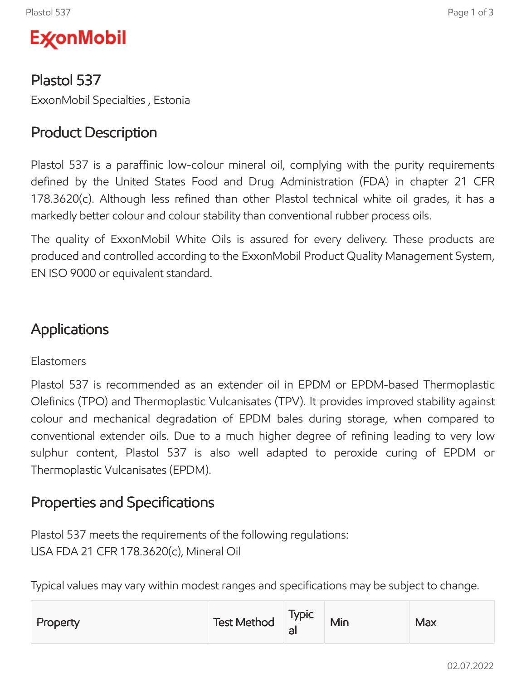

Plastol 537 ExxonMobil Specialties , Estonia

# Product Description

Plastol 537 is a paraffinic low-colour mineral oil, complying with the purity requirements defined by the United States Food and Drug Administration (FDA) in chapter 21 CFR 178.3620(c). Although less refined than other Plastol technical white oil grades, it has a markedly better colour and colour stability than conventional rubber process oils.

The quality of ExxonMobil White Oils is assured for every delivery. These products are produced and controlled according to the ExxonMobil Product Quality Management System, EN ISO 9000 or equivalent standard.

### Applications

#### Elastomers

Plastol 537 is recommended as an extender oil in EPDM or EPDM-based Thermoplastic Olefinics (TPO) and Thermoplastic Vulcanisates (TPV). It provides improved stability against colour and mechanical degradation of EPDM bales during storage, when compared to conventional extender oils. Due to a much higher degree of refining leading to very low sulphur content, Plastol 537 is also well adapted to peroxide curing of EPDM or Thermoplastic Vulcanisates (EPDM).

### Properties and Specifications

Plastol 537 meets the requirements of the following regulations: USA FDA 21 CFR 178.3620(c), Mineral Oil

Typical values may vary within modest ranges and specifications may be subject to change.

| Property | Test Method | <b>Typic</b><br>dl | Min | Max |
|----------|-------------|--------------------|-----|-----|
|----------|-------------|--------------------|-----|-----|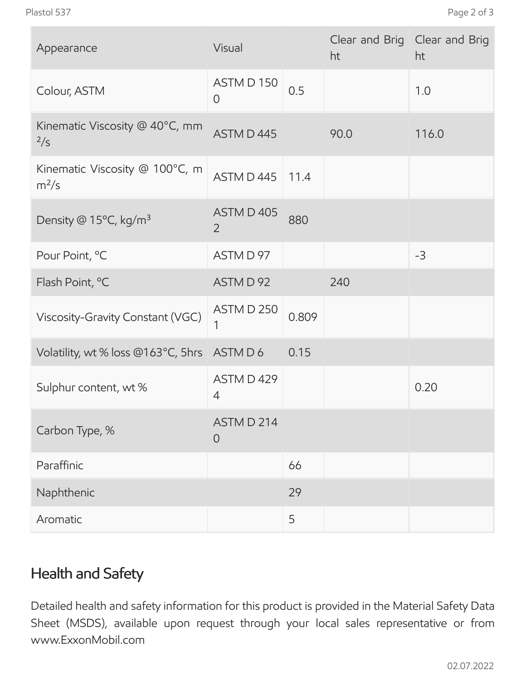| Appearance                                | Visual                       |       | ht   | Clear and Brig Clear and Brig<br>ht |
|-------------------------------------------|------------------------------|-------|------|-------------------------------------|
| Colour, ASTM                              | ASTM D 150<br>$\overline{0}$ | 0.5   |      | 1.0                                 |
| Kinematic Viscosity @ 40°C, mm<br>2/s     | ASTM D 445                   |       | 90.0 | 116.0                               |
| Kinematic Viscosity @ 100°C, m<br>$m^2/s$ | ASTM D 445                   | 11.4  |      |                                     |
| Density @ 15°C, kg/m <sup>3</sup>         | ASTM D 405<br>$\overline{2}$ | 880   |      |                                     |
| Pour Point, °C                            | ASTM D 97                    |       |      | $-3$                                |
| Flash Point, °C                           | ASTM D 92                    |       | 240  |                                     |
| Viscosity-Gravity Constant (VGC)          | ASTM D 250<br>1              | 0.809 |      |                                     |
| Volatility, wt % loss @163°C, 5hrs        | ASTM D 6                     | 0.15  |      |                                     |
| Sulphur content, wt %                     | ASTM D 429<br>4              |       |      | 0.20                                |
| Carbon Type, %                            | ASTM D 214<br>$\overline{0}$ |       |      |                                     |
| Paraffinic                                |                              | 66    |      |                                     |
| Naphthenic                                |                              | 29    |      |                                     |
| Aromatic                                  |                              | 5     |      |                                     |

# Health and Safety

Detailed health and safety information for this product is provided in the Material Safety Data Sheet (MSDS), available upon request through your local sales representative or from www.ExxonMobil.com